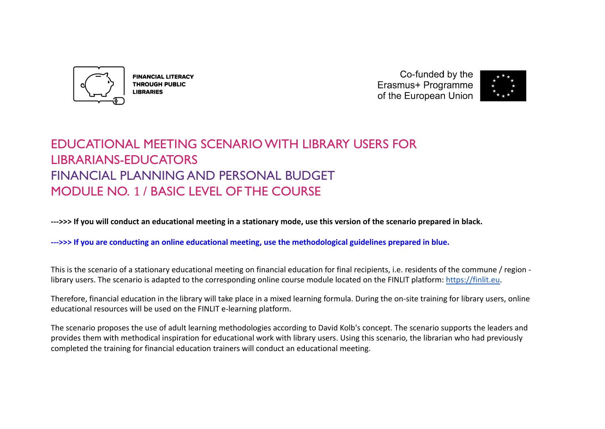

**FINANCIAL LITERACY THROUGH PUBLIC LIBRARIES** 

Co-funded by the Erasmus+ Programme of the European Union



# EDUCATIONAL MEETING SCENARIO WITH LIBRARY USERS FOR LIBRARIANS-EDUCATORS FINANCIAL PLANNING AND PERSONAL BUDGET MODULE NO. 1 / BASIC LEVEL OF THE COURSE

**--->>> If you will conduct an educational meeting in a stationary mode, use this version of the scenario prepared in black.**

**--->>> If you are conducting an online educational meeting, use the methodological guidelines prepared in blue.**

This is the scenario of a stationary educational meeting on financial education for final recipients, i.e. residents of the commune / region library users. The scenario is adapted to the corresponding online course module located on the FINLIT platform: [https://finlit.eu.](https://finlit.eu)

Therefore, financial education in the library will take place in a mixed learning formula. During the on-site training for library users, online educational resources will be used on the FINLIT e-learning platform.

The scenario proposes the use of adult learning methodologies according to David Kolb's concept. The scenario supports the leaders and provides them with methodical inspiration for educational work with library users. Using this scenario, the librarian who had previously completed the training for financial education trainers will conduct an educational meeting.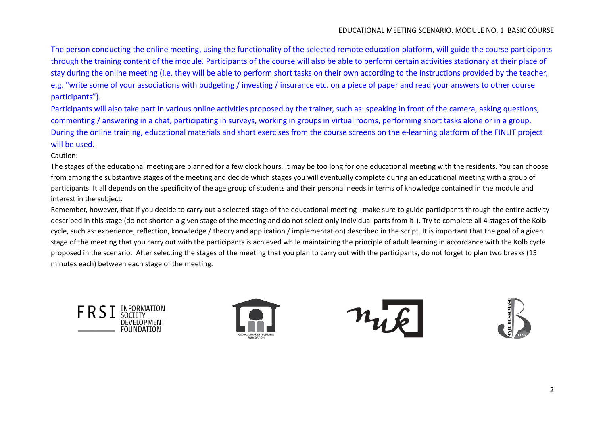The person conducting the online meeting, using the functionality of the selected remote education platform, will guide the course participants through the training content of the module. Participants of the course will also be able to perform certain activities stationary at their place of stay during the online meeting (i.e. they will be able to perform short tasks on their own according to the instructions provided by the teacher, e.g. "write some of your associations with budgeting / investing / insurance etc. on a piece of paper and read your answers to other course participants").

Participants will also take part in various online activities proposed by the trainer, such as: speaking in front of the camera, asking questions, commenting / answering in a chat, participating in surveys, working in groups in virtual rooms, performing short tasks alone or in a group. During the online training, educational materials and short exercises from the course screens on the e-learning platform of the FINLIT project will be used.

Caution:

The stages of the educational meeting are planned for a few clock hours. It may be too long for one educational meeting with the residents. You can choose from among the substantive stages of the meeting and decide which stages you will eventually complete during an educational meeting with a group of participants. It all depends on the specificity of the age group of students and their personal needs in terms of knowledge contained in the module and interest in the subject.

Remember, however, that if you decide to carry out a selected stage of the educational meeting - make sure to guide participants through the entire activity described in this stage (do not shorten a given stage of the meeting and do not select only individual parts from it!). Try to complete all 4 stages of the Kolb cycle, such as: experience, reflection, knowledge / theory and application / implementation) described in the script. It is important that the goal of a given stage of the meeting that you carry out with the participants is achieved while maintaining the principle of adult learning in accordance with the Kolb cycle proposed in the scenario. After selecting the stages of the meeting that you plan to carry out with the participants, do not forget to plan two breaks (15 minutes each) between each stage of the meeting.





nuk

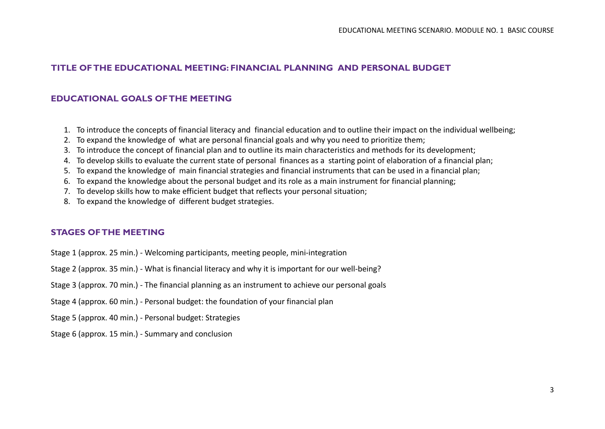### **TITLE OF THE EDUCATIONAL MEETING: FINANCIAL PLANNING AND PERSONAL BUDGET**

### **EDUCATIONAL GOALS OF THE MEETING**

- 1. To introduce the concepts of financial literacy and financial education and to outline their impact on the individual wellbeing;
- 2. To expand the knowledge of what are personal financial goals and why you need to prioritize them;
- 3. To introduce the concept of financial plan and to outline its main characteristics and methods for its development;
- 4. To develop skills to evaluate the current state of personal finances as a starting point of elaboration of a financial plan;
- 5. To expand the knowledge of main financial strategies and financial instruments that can be used in a financial plan;
- 6. To expand the knowledge about the personal budget and its role as a main instrument for financial planning;
- 7. To develop skills how to make efficient budget that reflects your personal situation;
- 8. To expand the knowledge of different budget strategies.

### **STAGES OF THE MEETING**

- Stage 1 (approx. 25 min.) Welcoming participants, meeting people, mini-integration
- Stage 2 (approx. 35 min.) What is financial literacy and why it is important for our well-being?
- Stage 3 (approx. 70 min.) The financial planning as an instrument to achieve our personal goals
- Stage 4 (approx. 60 min.) Personal budget: the foundation of your financial plan
- Stage 5 (approx. 40 min.) Personal budget: Strategies
- Stage 6 (approx. 15 min.) Summary and conclusion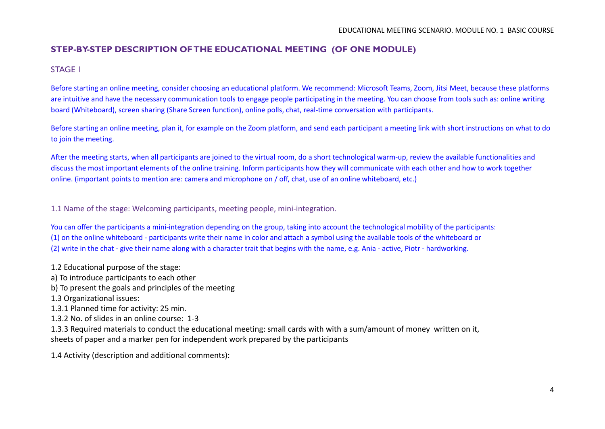### **STEP-BY-STEP DESCRIPTION OF THE EDUCATIONAL MEETING (OF ONE MODULE)**

### STAGE 1

Before starting an online meeting, consider choosing an educational platform. We recommend: Microsoft Teams, Zoom, Jitsi Meet, because these platforms are intuitive and have the necessary communication tools to engage people participating in the meeting. You can choose from tools such as: online writing board (Whiteboard), screen sharing (Share Screen function), online polls, chat, real-time conversation with participants.

Before starting an online meeting, plan it, for example on the Zoom platform, and send each participant a meeting link with short instructions on what to do to join the meeting.

After the meeting starts, when all participants are joined to the virtual room, do a short technological warm-up, review the available functionalities and discuss the most important elements of the online training. Inform participants how they will communicate with each other and how to work together online. (important points to mention are: camera and microphone on / off, chat, use of an online whiteboard, etc.)

1.1 Name of the stage: Welcoming participants, meeting people, mini-integration.

You can offer the participants a mini-integration depending on the group, taking into account the technological mobility of the participants: (1) on the online whiteboard - participants write their name in color and attach a symbol using the available tools of the whiteboard or (2) write in the chat - give their name along with a character trait that begins with the name, e.g. Ania - active, Piotr - hardworking.

1.2 Educational purpose of the stage:

a) To introduce participants to each other

b) To present the goals and principles of the meeting

1.3 Organizational issues:

1.3.1 Planned time for activity: 25 min.

1.3.2 No. of slides in an online course: 1-3

1.3.3 Required materials to conduct the educational meeting: small cards with with a sum/amount of money written on it, sheets of paper and a marker pen for independent work prepared by the participants

1.4 Activity (description and additional comments):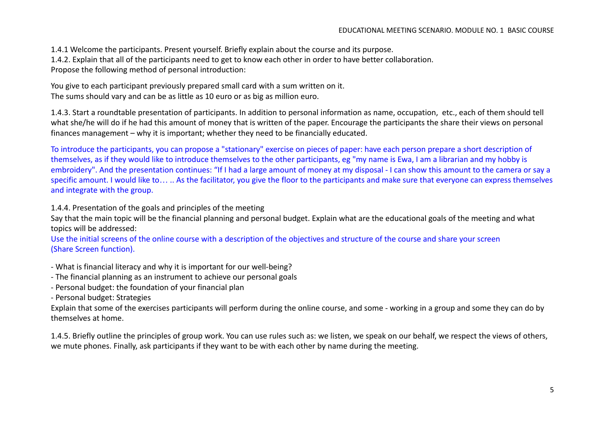1.4.1 Welcome the participants. Present yourself. Briefly explain about the course and its purpose. 1.4.2. Explain that all of the participants need to get to know each other in order to have better collaboration. Propose the following method of personal introduction:

You give to each participant previously prepared small card with a sum written on it. The sums should vary and can be as little as 10 euro or as big as million euro.

1.4.3. Start a roundtable presentation of participants. In addition to personal information as name, occupation, etc., each of them should tell what she/he will do if he had this amount of money that is written of the paper. Encourage the participants the share their views on personal finances management – why it is important; whether they need to be financially educated.

To introduce the participants, you can propose a "stationary" exercise on pieces of paper: have each person prepare a short description of themselves, as if they would like to introduce themselves to the other participants, eg "my name is Ewa, I am a librarian and my hobby is embroidery". And the presentation continues: "If I had a large amount of money at my disposal - I can show this amount to the camera or say a specific amount. I would like to… .. As the facilitator, you give the floor to the participants and make sure that everyone can express themselves and integrate with the group.

### 1.4.4. Presentation of the goals and principles of the meeting

Say that the main topic will be the financial planning and personal budget. Explain what are the educational goals of the meeting and what topics will be addressed:

Use the initial screens of the online course with a description of the objectives and structure of the course and share your screen (Share Screen function).

- What is financial literacy and why it is important for our well-being?
- The financial planning as an instrument to achieve our personal goals
- Personal budget: the foundation of your financial plan

- Personal budget: Strategies

Explain that some of the exercises participants will perform during the online course, and some - working in a group and some they can do by themselves at home.

1.4.5. Briefly outline the principles of group work. You can use rules such as: we listen, we speak on our behalf, we respect the views of others, we mute phones. Finally, ask participants if they want to be with each other by name during the meeting.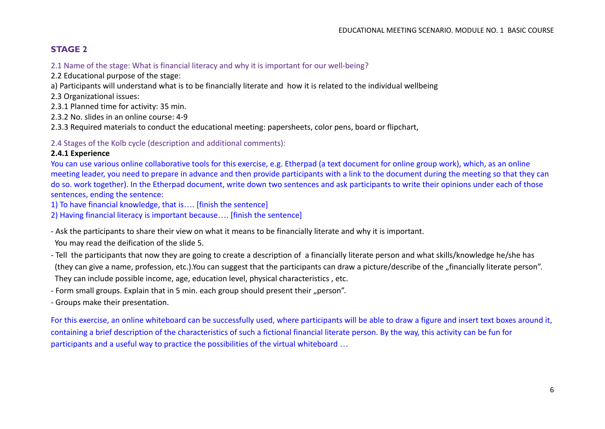### **STAGE 2**

2.1 Name of the stage: What is financial literacy and why it is important for our well-being?

2.2 Educational purpose of the stage:

a) Participants will understand what is to be financially literate and how it is related to the individual wellbeing

2.3 Organizational issues:

2.3.1 Planned time for activity: 35 min.

2.3.2 No. slides in an online course: 4-9

2.3.3 Required materials to conduct the educational meeting: papersheets, color pens, board or flipchart,

2.4 Stages of the Kolb cycle (description and additional comments):

### **2.4.1 Experience**

You can use various online collaborative tools for this exercise, e.g. Etherpad (a text document for online group work), which, as an online meeting leader, you need to prepare in advance and then provide participants with a link to the document during the meeting so that they can do so. work together). In the Etherpad document, write down two sentences and ask participants to write their opinions under each of those sentences, ending the sentence:

1) To have financial knowledge, that is…. [finish the sentence]

2) Having financial literacy is important because…. [finish the sentence]

- Ask the participants to share their view on what it means to be financially literate and why it is important.

You may read the deification of the slide 5.

- Tell the participants that now they are going to create a description of a financially literate person and what skills/knowledge he/she has (they can give a name, profession, etc.).You can suggest that the participants can draw a picture/describe of the "financially literate person". They can include possible income, age, education level, physical characteristics , etc.

- Form small groups. Explain that in 5 min. each group should present their "person".

- Groups make their presentation.

For this exercise, an online whiteboard can be successfully used, where participants will be able to draw a figure and insert text boxes around it, containing a brief description of the characteristics of such a fictional financial literate person. By the way, this activity can be fun for participants and a useful way to practice the possibilities of the virtual whiteboard …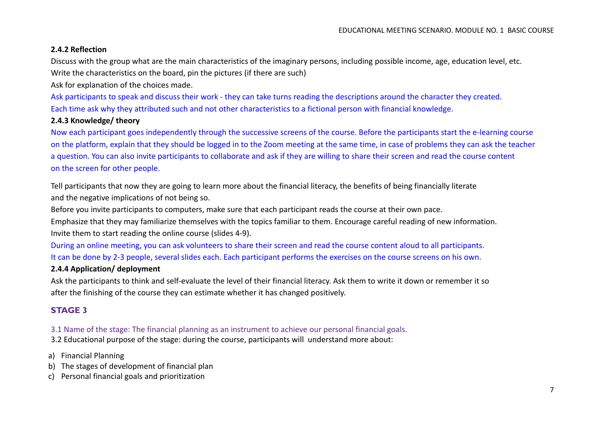### **2.4.2 Reflection**

Discuss with the group what are the main characteristics of the imaginary persons, including possible income, age, education level, etc. Write the characteristics on the board, pin the pictures (if there are such)

Ask for explanation of the choices made.

Ask participants to speak and discuss their work - they can take turns reading the descriptions around the character they created. Each time ask why they attributed such and not other characteristics to a fictional person with financial knowledge.

### **2.4.3 Knowledge/ theory**

Now each participant goes independently through the successive screens of the course. Before the participants start the e-learning course on the platform, explain that they should be logged in to the Zoom meeting at the same time, in case of problems they can ask the teacher a question. You can also invite participants to collaborate and ask if they are willing to share their screen and read the course content on the screen for other people.

Tell participants that now they are going to learn more about the financial literacy, the benefits of being financially literate and the negative implications of not being so.

Before you invite participants to computers, make sure that each participant reads the course at their own pace.

Emphasize that they may familiarize themselves with the topics familiar to them. Encourage careful reading of new information. Invite them to start reading the online course (slides 4-9).

During an online meeting, you can ask volunteers to share their screen and read the course content aloud to all participants. It can be done by 2-3 people, several slides each. Each participant performs the exercises on the course screens on his own.

### **2.4.4 Application/ deployment**

Ask the participants to think and self-evaluate the level of their financial literacy. Ask them to write it down or remember it so after the finishing of the course they can estimate whether it has changed positively.

### **STAGE 3**

3.1 Name of the stage: The financial planning as an instrument to achieve our personal financial goals. 3.2 Educational purpose of the stage: during the course, participants will understand more about:

a) Financial Planning

- b) The stages of development of financial plan
- c) Personal financial goals and prioritization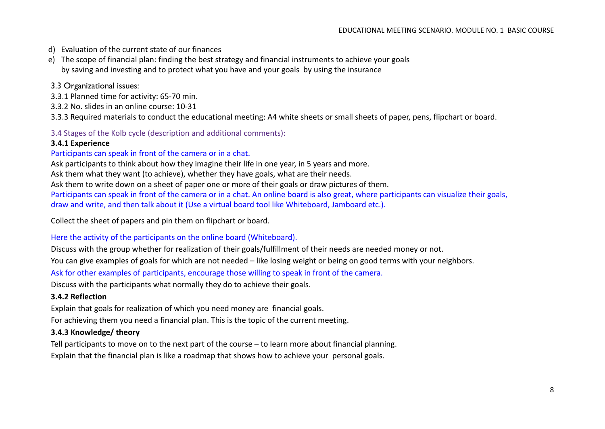- d) Evaluation of the current state of our finances
- e) The scope of financial plan: finding the best strategy and financial instruments to achieve your goals by saving and investing and to protect what you have and your goals by using the insurance

### 3.3 Organizational issues:

- 3.3.1 Planned time for activity: 65-70 min.
- 3.3.2 No. slides in an online course: 10-31

3.3.3 Required materials to conduct the educational meeting: A4 white sheets or small sheets of paper, pens, flipchart or board.

3.4 Stages of the Kolb cycle (description and additional comments):

### **3.4.1 Experience**

#### Participants can speak in front of the camera or in a chat.

Ask participants to think about how they imagine their life in one year, in 5 years and more.

Ask them what they want (to achieve), whether they have goals, what are their needs.

Ask them to write down on a sheet of paper one or more of their goals or draw pictures of them.

Participants can speak in front of the camera or in a chat. An online board is also great, where participants can visualize their goals, draw and write, and then talk about it (Use a virtual board tool like Whiteboard, Jamboard etc.).

Collect the sheet of papers and pin them on flipchart or board.

#### Here the activity of the participants on the online board (Whiteboard).

Discuss with the group whether for realization of their goals/fulfillment of their needs are needed money or not.

You can give examples of goals for which are not needed – like losing weight or being on good terms with your neighbors.

Ask for other examples of participants, encourage those willing to speak in front of the camera.

Discuss with the participants what normally they do to achieve their goals.

#### **3.4.2 Reflection**

Explain that goals for realization of which you need money are financial goals.

For achieving them you need a financial plan. This is the topic of the current meeting.

### **3.4.3 Knowledge/ theory**

Tell participants to move on to the next part of the course – to learn more about financial planning. Explain that the financial plan is like a roadmap that shows how to achieve your personal goals.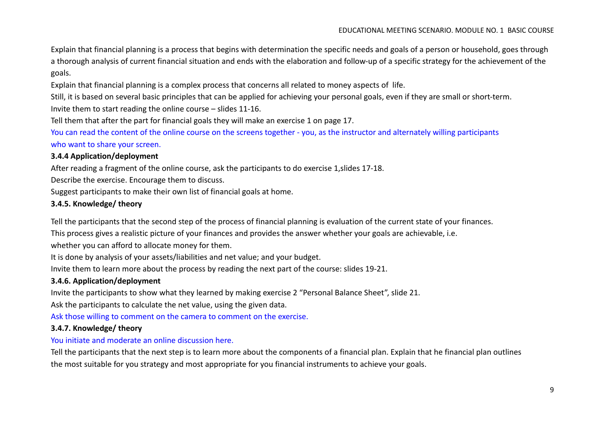Explain that financial planning is a process that begins with determination the specific needs and goals of a person or household, goes through a thorough analysis of current financial situation and ends with the elaboration and follow-up of a specific strategy for the achievement of the goals.

Explain that financial planning is a complex process that concerns all related to money aspects of life.

Still, it is based on several basic principles that can be applied for achieving your personal goals, even if they are small or short-term.

Invite them to start reading the online course – slides 11-16.

Tell them that after the part for financial goals they will make an exercise 1 on page 17.

You can read the content of the online course on the screens together - you, as the instructor and alternately willing participants who want to share your screen.

### **3.4.4 Application/deployment**

After reading a fragment of the online course, ask the participants to do exercise 1,slides 17-18.

Describe the exercise. Encourage them to discuss.

Suggest participants to make their own list of financial goals at home.

### **3.4.5. Knowledge/ theory**

Tell the participants that the second step of the process of financial planning is evaluation of the current state of your finances.

This process gives a realistic picture of your finances and provides the answer whether your goals are achievable, i.e.

whether you can afford to allocate money for them.

It is done by analysis of your assets/liabilities and net value; and your budget.

Invite them to learn more about the process by reading the next part of the course: slides 19-21.

### **3.4.6. Application/deployment**

Invite the participants to show what they learned by making exercise 2 "Personal Balance Sheet", slide 21.

Ask the participants to calculate the net value, using the given data.

Ask those willing to comment on the camera to comment on the exercise.

### **3.4.7. Knowledge/ theory**

### You initiate and moderate an online discussion here.

Tell the participants that the next step is to learn more about the components of a financial plan. Explain that he financial plan outlines the most suitable for you strategy and most appropriate for you financial instruments to achieve your goals.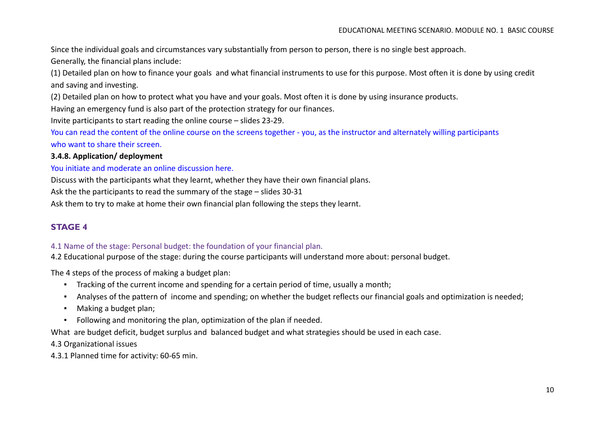Since the individual goals and circumstances vary substantially from person to person, there is no single best approach.

Generally, the financial plans include:

(1) Detailed plan on how to finance your goals and what financial instruments to use for this purpose. Most often it is done by using credit and saving and investing.

(2) Detailed plan on how to protect what you have and your goals. Most often it is done by using insurance products.

Having an emergency fund is also part of the protection strategy for our finances.

Invite participants to start reading the online course – slides 23-29.

You can read the content of the online course on the screens together - you, as the instructor and alternately willing participants who want to share their screen.

### **3.4.8. Application/ deployment**

### You initiate and moderate an online discussion here.

Discuss with the participants what they learnt, whether they have their own financial plans.

Ask the the participants to read the summary of the stage – slides 30-31

Ask them to try to make at home their own financial plan following the steps they learnt.

### **STAGE 4**

### 4.1 Name of the stage: Personal budget: the foundation of your financial plan.

4.2 Educational purpose of the stage: during the course participants will understand more about: personal budget.

The 4 steps of the process of making a budget plan:

- Tracking of the current income and spending for a certain period of time, usually a month;
- Analyses of the pattern of income and spending; on whether the budget reflects our financial goals and optimization is needed;
- Making a budget plan;
- Following and monitoring the plan, optimization of the plan if needed.

What are budget deficit, budget surplus and balanced budget and what strategies should be used in each case.

4.3 Organizational issues

4.3.1 Planned time for activity: 60-65 min.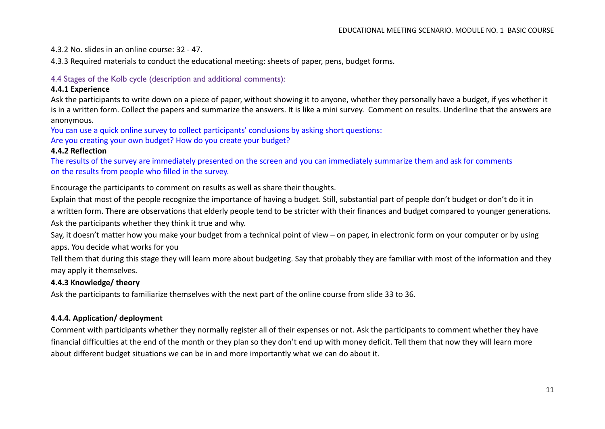4.3.2 No. slides in an online course: 32 - 47.

4.3.3 Required materials to conduct the educational meeting: sheets of paper, pens, budget forms.

### 4.4 Stages of the Kolb cycle (description and additional comments):

#### **4.4.1 Experience**

Ask the participants to write down on a piece of paper, without showing it to anyone, whether they personally have a budget, if yes whether it is in a written form. Collect the papers and summarize the answers. It is like a mini survey. Comment on results. Underline that the answers are anonymous.

You can use a quick online survey to collect participants' conclusions by asking short questions:

Are you creating your own budget? How do you create your budget?

#### **4.4.2 Reflection**

The results of the survey are immediately presented on the screen and you can immediately summarize them and ask for comments on the results from people who filled in the survey.

Encourage the participants to comment on results as well as share their thoughts.

Explain that most of the people recognize the importance of having a budget. Still, substantial part of people don't budget or don't do it in a written form. There are observations that elderly people tend to be stricter with their finances and budget compared to younger generations. Ask the participants whether they think it true and why.

Say, it doesn't matter how you make your budget from a technical point of view – on paper, in electronic form on your computer or by using apps. You decide what works for you

Tell them that during this stage they will learn more about budgeting. Say that probably they are familiar with most of the information and they may apply it themselves.

### **4.4.3 Knowledge/ theory**

Ask the participants to familiarize themselves with the next part of the online course from slide 33 to 36.

### **4.4.4. Application/ deployment**

Comment with participants whether they normally register all of their expenses or not. Ask the participants to comment whether they have financial difficulties at the end of the month or they plan so they don't end up with money deficit. Tell them that now they will learn more about different budget situations we can be in and more importantly what we can do about it.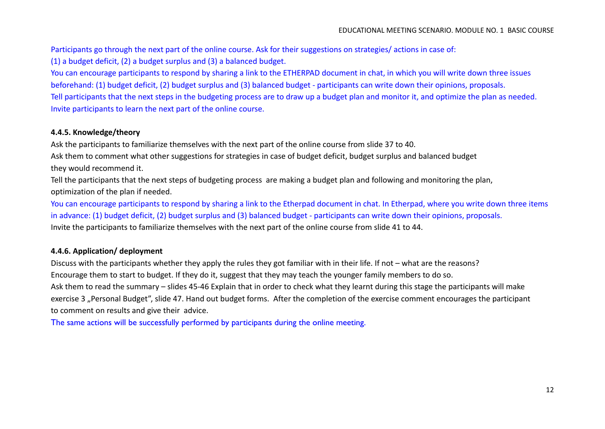Participants go through the next part of the online course. Ask for their suggestions on strategies/ actions in case of: (1) a budget deficit, (2) a budget surplus and (3) a balanced budget.

You can encourage participants to respond by sharing a link to the ETHERPAD document in chat, in which you will write down three issues beforehand: (1) budget deficit, (2) budget surplus and (3) balanced budget - participants can write down their opinions, proposals. Tell participants that the next steps in the budgeting process are to draw up a budget plan and monitor it, and optimize the plan as needed. Invite participants to learn the next part of the online course.

### **4.4.5. Knowledge/theory**

Ask the participants to familiarize themselves with the next part of the online course from slide 37 to 40.

Ask them to comment what other suggestions for strategies in case of budget deficit, budget surplus and balanced budget they would recommend it.

Tell the participants that the next steps of budgeting process are making a budget plan and following and monitoring the plan, optimization of the plan if needed.

You can encourage participants to respond by sharing a link to the Etherpad document in chat. In Etherpad, where you write down three items in advance: (1) budget deficit, (2) budget surplus and (3) balanced budget - participants can write down their opinions, proposals. Invite the participants to familiarize themselves with the next part of the online course from slide 41 to 44.

### **4.4.6. Application/ deployment**

Discuss with the participants whether they apply the rules they got familiar with in their life. If not – what are the reasons? Encourage them to start to budget. If they do it, suggest that they may teach the younger family members to do so. Ask them to read the summary – slides 45-46 Explain that in order to check what they learnt during this stage the participants will make exercise 3 "Personal Budget", slide 47. Hand out budget forms. After the completion of the exercise comment encourages the participant

to comment on results and give their advice.

The same actions will be successfully performed by participants during the online meeting.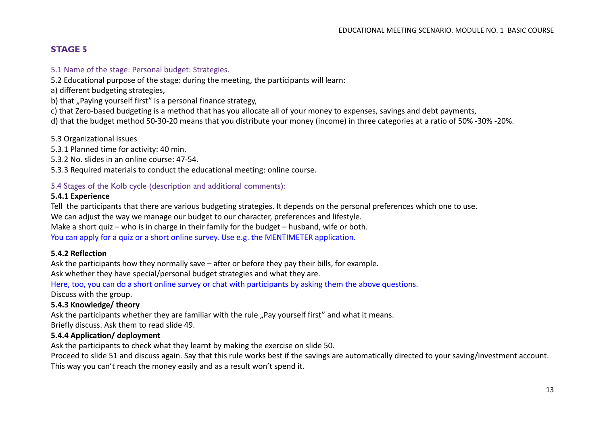### **STAGE 5**

#### 5.1 Name of the stage: Personal budget: Strategies.

5.2 Educational purpose of the stage: during the meeting, the participants will learn:

a) different budgeting strategies,

b) that "Paying yourself first" is a personal finance strategy,

c) that Zero-based budgeting is a method that has you allocate all of your money to expenses, savings and debt payments,

d) that the budget method 50-30-20 means that you distribute your money (income) in three categories at a ratio of 50% -30% -20%.

5.3 Organizational issues

5.3.1 Planned time for activity: 40 min.

5.3.2 No. slides in an online course: 47-54.

5.3.3 Required materials to conduct the educational meeting: online course.

### 5.4 Stages of the Kolb cycle (description and additional comments):

### **5.4.1 Experience**

Tell the participants that there are various budgeting strategies. It depends on the personal preferences which one to use.

We can adjust the way we manage our budget to our character, preferences and lifestyle.

Make a short quiz – who is in charge in their family for the budget – husband, wife or both.

You can apply for a quiz or a short online survey. Use e.g. the MENTIMETER application.

### **5.4.2 Reflection**

Ask the participants how they normally save – after or before they pay their bills, for example. Ask whether they have special/personal budget strategies and what they are.

Here, too, you can do a short online survey or chat with participants by asking them the above questions.

Discuss with the group.

### **5.4.3 Knowledge/ theory**

Ask the participants whether they are familiar with the rule "Pay yourself first" and what it means. Briefly discuss. Ask them to read slide 49.

### **5.4.4 Application/ deployment**

Ask the participants to check what they learnt by making the exercise on slide 50.

Proceed to slide 51 and discuss again. Say that this rule works best if the savings are automatically directed to your saving/investment account. This way you can't reach the money easily and as a result won't spend it.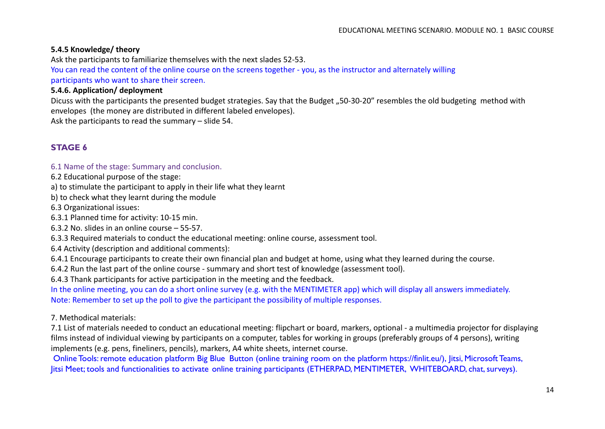### **5.4.5 Knowledge/ theory**

Ask the participants to familiarize themselves with the next slades 52-53.

You can read the content of the online course on the screens together - you, as the instructor and alternately willing participants who want to share their screen.

### **5.4.6. Application/ deployment**

Dicuss with the participants the presented budget strategies. Say that the Budget "50-30-20" resembles the old budgeting method with envelopes (the money are distributed in different labeled envelopes).

Ask the participants to read the summary – slide 54.

### **STAGE 6**

#### 6.1 Name of the stage: Summary and conclusion.

6.2 Educational purpose of the stage:

a) to stimulate the participant to apply in their life what they learnt

b) to check what they learnt during the module

6.3 Organizational issues:

6.3.1 Planned time for activity: 10-15 min.

6.3.2 No. slides in an online course – 55-57.

6.3.3 Required materials to conduct the educational meeting: online course, assessment tool.

6.4 Activity (description and additional comments):

6.4.1 Encourage participants to create their own financial plan and budget at home, using what they learned during the course.

6.4.2 Run the last part of the online course - summary and short test of knowledge (assessment tool).

6.4.3 Thank participants for active participation in the meeting and the feedback.

In the online meeting, you can do a short online survey (e.g. with the MENTIMETER app) which will display all answers immediately. Note: Remember to set up the poll to give the participant the possibility of multiple responses.

### 7. Methodical materials:

7.1 List of materials needed to conduct an educational meeting: flipchart or board, markers, optional - a multimedia projector for displaying films instead of individual viewing by participants on a computer, tables for working in groups (preferably groups of 4 persons), writing implements (e.g. pens, fineliners, pencils), markers, A4 white sheets, internet course.

Online Tools: remote education platform Big Blue Button (online training room on the platform https://finlit.eu/), Jitsi, Microsoft Teams, Jitsi Meet; tools and functionalities to activate online training participants (ETHERPAD, MENTIMETER, WHITEBOARD, chat, surveys).